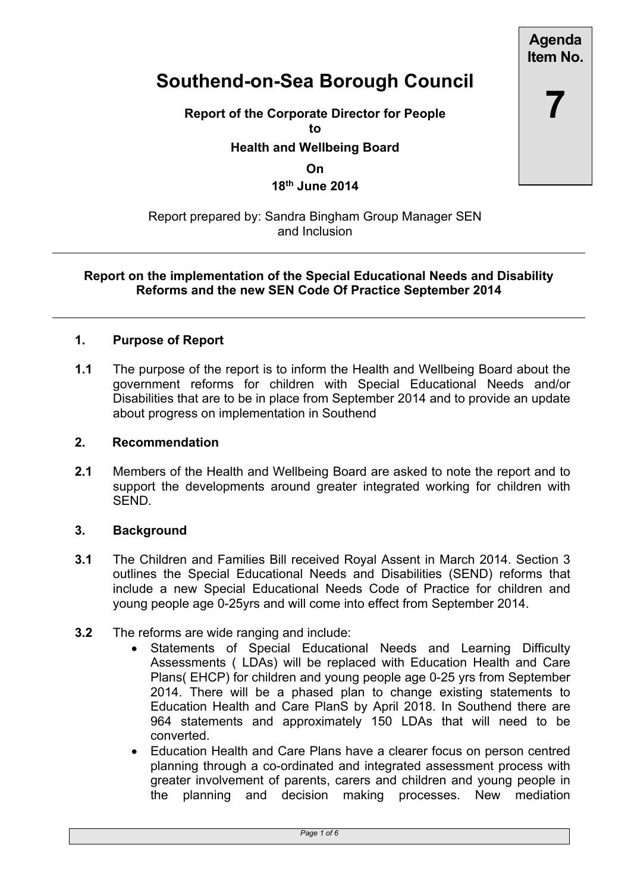**Agenda Item No.**

**7**

# **Southend-on-Sea Borough Council**

**Report of the Corporate Director for People to**

**Health and Wellbeing Board**

**On**

**18th June 2014**

## Report prepared by: Sandra Bingham Group Manager SEN and Inclusion

#### **Report on the implementation of the Special Educational Needs and Disability Reforms and the new SEN Code Of Practice September 2014**

## **1. Purpose of Report**

**1.1** The purpose of the report is to inform the Health and Wellbeing Board about the government reforms for children with Special Educational Needs and/or Disabilities that are to be in place from September 2014 and to provide an update about progress on implementation in Southend

#### **2. Recommendation**

**2.1** Members of the Health and Wellbeing Board are asked to note the report and to support the developments around greater integrated working for children with SEND.

# **3. Background**

- **3.1** The Children and Families Bill received Royal Assent in March 2014. Section 3 outlines the Special Educational Needs and Disabilities (SEND) reforms that include a new Special Educational Needs Code of Practice for children and young people age 0-25yrs and will come into effect from September 2014.
- **3.2** The reforms are wide ranging and include:
	- Statements of Special Educational Needs and Learning Difficulty Assessments ( LDAs) will be replaced with Education Health and Care Plans( EHCP) for children and young people age 0-25 yrs from September 2014. There will be a phased plan to change existing statements to Education Health and Care PlanS by April 2018. In Southend there are 964 statements and approximately 150 LDAs that will need to be converted.
	- Education Health and Care Plans have a clearer focus on person centred planning through a co-ordinated and integrated assessment process with greater involvement of parents, carers and children and young people in the planning and decision making processes. New mediation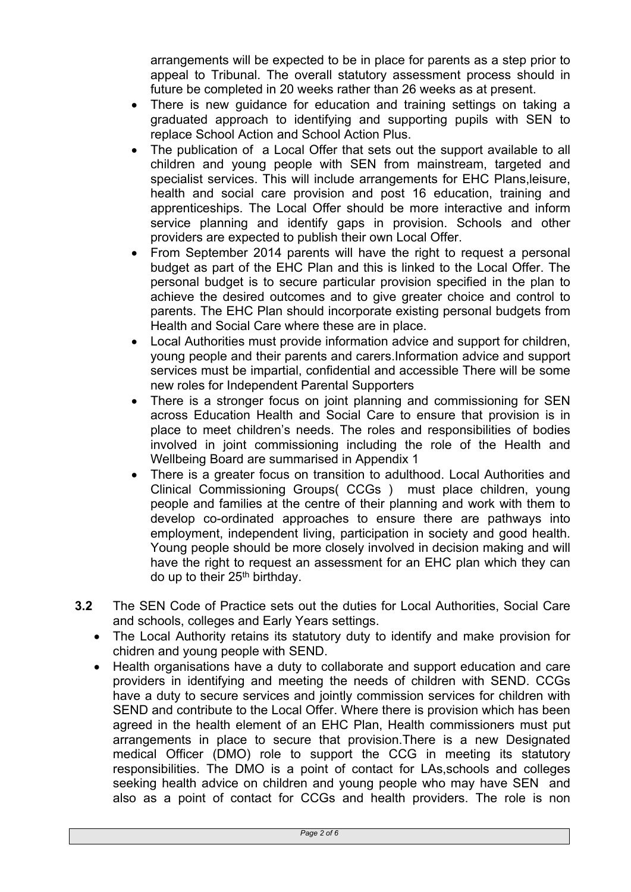arrangements will be expected to be in place for parents as a step prior to appeal to Tribunal. The overall statutory assessment process should in future be completed in 20 weeks rather than 26 weeks as at present.

- There is new guidance for education and training settings on taking a graduated approach to identifying and supporting pupils with SEN to replace School Action and School Action Plus.
- The publication of a Local Offer that sets out the support available to all children and young people with SEN from mainstream, targeted and specialist services. This will include arrangements for EHC Plans,leisure, health and social care provision and post 16 education, training and apprenticeships. The Local Offer should be more interactive and inform service planning and identify gaps in provision. Schools and other providers are expected to publish their own Local Offer.
- From September 2014 parents will have the right to request a personal budget as part of the EHC Plan and this is linked to the Local Offer. The personal budget is to secure particular provision specified in the plan to achieve the desired outcomes and to give greater choice and control to parents. The EHC Plan should incorporate existing personal budgets from Health and Social Care where these are in place.
- Local Authorities must provide information advice and support for children, young people and their parents and carers.Information advice and support services must be impartial, confidential and accessible There will be some new roles for Independent Parental Supporters
- There is a stronger focus on joint planning and commissioning for SEN across Education Health and Social Care to ensure that provision is in place to meet children's needs. The roles and responsibilities of bodies involved in joint commissioning including the role of the Health and Wellbeing Board are summarised in Appendix 1
- There is a greater focus on transition to adulthood. Local Authorities and Clinical Commissioning Groups( CCGs ) must place children, young people and families at the centre of their planning and work with them to develop co-ordinated approaches to ensure there are pathways into employment, independent living, participation in society and good health. Young people should be more closely involved in decision making and will have the right to request an assessment for an EHC plan which they can do up to their 25th birthday.
- **3.2** The SEN Code of Practice sets out the duties for Local Authorities, Social Care and schools, colleges and Early Years settings.
	- The Local Authority retains its statutory duty to identify and make provision for chidren and young people with SEND.
	- Health organisations have a duty to collaborate and support education and care providers in identifying and meeting the needs of children with SEND. CCGs have a duty to secure services and jointly commission services for children with SEND and contribute to the Local Offer. Where there is provision which has been agreed in the health element of an EHC Plan, Health commissioners must put arrangements in place to secure that provision.There is a new Designated medical Officer (DMO) role to support the CCG in meeting its statutory responsibilities. The DMO is a point of contact for LAs,schools and colleges seeking health advice on children and young people who may have SEN and also as a point of contact for CCGs and health providers. The role is non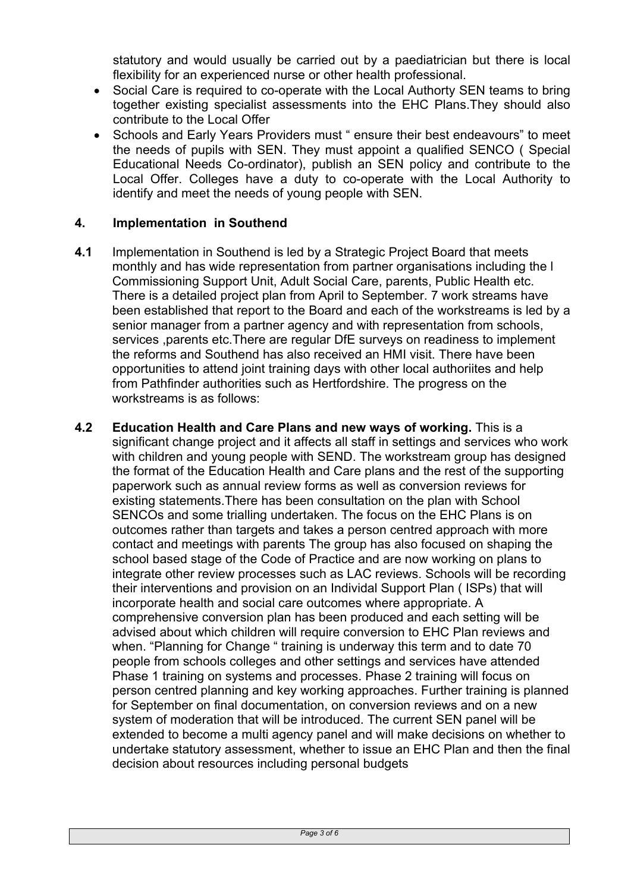statutory and would usually be carried out by a paediatrician but there is local flexibility for an experienced nurse or other health professional.

- Social Care is required to co-operate with the Local Authorty SEN teams to bring together existing specialist assessments into the EHC Plans.They should also contribute to the Local Offer
- Schools and Early Years Providers must " ensure their best endeavours" to meet the needs of pupils with SEN. They must appoint a qualified SENCO ( Special Educational Needs Co-ordinator), publish an SEN policy and contribute to the Local Offer. Colleges have a duty to co-operate with the Local Authority to identify and meet the needs of young people with SEN.

# **4. Implementation in Southend**

- **4.1** Implementation in Southend is led by a Strategic Project Board that meets monthly and has wide representation from partner organisations including the l Commissioning Support Unit, Adult Social Care, parents, Public Health etc. There is a detailed project plan from April to September. 7 work streams have been established that report to the Board and each of the workstreams is led by a senior manager from a partner agency and with representation from schools, services ,parents etc.There are regular DfE surveys on readiness to implement the reforms and Southend has also received an HMI visit. There have been opportunities to attend joint training days with other local authoriites and help from Pathfinder authorities such as Hertfordshire. The progress on the workstreams is as follows:
- **4.2 Education Health and Care Plans and new ways of working.** This is a significant change project and it affects all staff in settings and services who work with children and young people with SEND. The workstream group has designed the format of the Education Health and Care plans and the rest of the supporting paperwork such as annual review forms as well as conversion reviews for existing statements.There has been consultation on the plan with School SENCOs and some trialling undertaken. The focus on the EHC Plans is on outcomes rather than targets and takes a person centred approach with more contact and meetings with parents The group has also focused on shaping the school based stage of the Code of Practice and are now working on plans to integrate other review processes such as LAC reviews. Schools will be recording their interventions and provision on an Individal Support Plan ( ISPs) that will incorporate health and social care outcomes where appropriate. A comprehensive conversion plan has been produced and each setting will be advised about which children will require conversion to EHC Plan reviews and when. "Planning for Change" training is underway this term and to date 70 people from schools colleges and other settings and services have attended Phase 1 training on systems and processes. Phase 2 training will focus on person centred planning and key working approaches. Further training is planned for September on final documentation, on conversion reviews and on a new system of moderation that will be introduced. The current SEN panel will be extended to become a multi agency panel and will make decisions on whether to undertake statutory assessment, whether to issue an EHC Plan and then the final decision about resources including personal budgets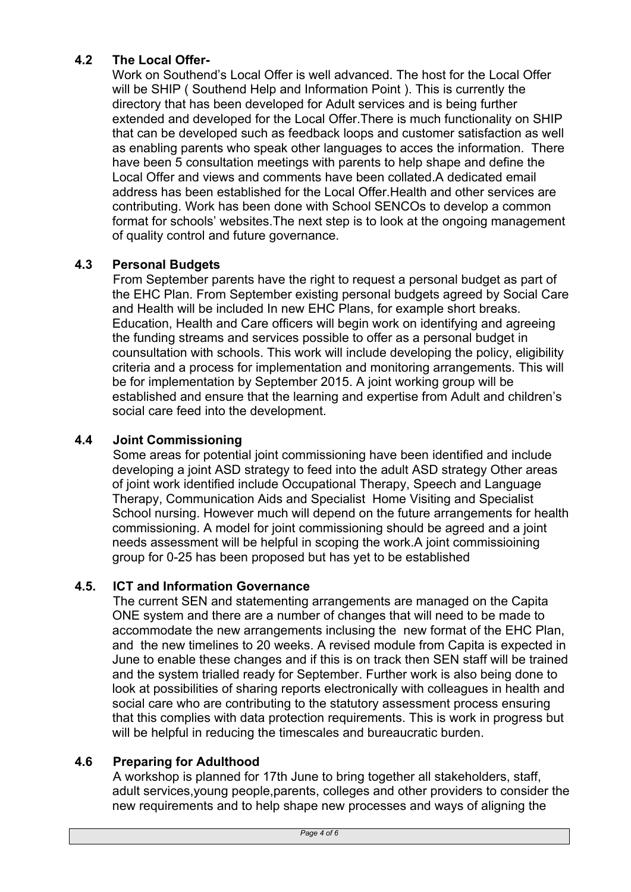# **4.2 The Local Offer-**

Work on Southend's Local Offer is well advanced. The host for the Local Offer will be SHIP ( Southend Help and Information Point ). This is currently the directory that has been developed for Adult services and is being further extended and developed for the Local Offer.There is much functionality on SHIP that can be developed such as feedback loops and customer satisfaction as well as enabling parents who speak other languages to acces the information. There have been 5 consultation meetings with parents to help shape and define the Local Offer and views and comments have been collated.A dedicated email address has been established for the Local Offer.Health and other services are contributing. Work has been done with School SENCOs to develop a common format for schools' websites.The next step is to look at the ongoing management of quality control and future governance.

# **4.3 Personal Budgets**

From September parents have the right to request a personal budget as part of the EHC Plan. From September existing personal budgets agreed by Social Care and Health will be included In new EHC Plans, for example short breaks. Education, Health and Care officers will begin work on identifying and agreeing the funding streams and services possible to offer as a personal budget in counsultation with schools. This work will include developing the policy, eligibility criteria and a process for implementation and monitoring arrangements. This will be for implementation by September 2015. A joint working group will be established and ensure that the learning and expertise from Adult and children's social care feed into the development.

# **4.4 Joint Commissioning**

Some areas for potential joint commissioning have been identified and include developing a joint ASD strategy to feed into the adult ASD strategy Other areas of joint work identified include Occupational Therapy, Speech and Language Therapy, Communication Aids and Specialist Home Visiting and Specialist School nursing. However much will depend on the future arrangements for health commissioning. A model for joint commissioning should be agreed and a joint needs assessment will be helpful in scoping the work.A joint commissioining group for 0-25 has been proposed but has yet to be established

# **4.5. ICT and Information Governance**

The current SEN and statementing arrangements are managed on the Capita ONE system and there are a number of changes that will need to be made to accommodate the new arrangements inclusing the new format of the EHC Plan, and the new timelines to 20 weeks. A revised module from Capita is expected in June to enable these changes and if this is on track then SEN staff will be trained and the system trialled ready for September. Further work is also being done to look at possibilities of sharing reports electronically with colleagues in health and social care who are contributing to the statutory assessment process ensuring that this complies with data protection requirements. This is work in progress but will be helpful in reducing the timescales and bureaucratic burden.

# **4.6 Preparing for Adulthood**

A workshop is planned for 17th June to bring together all stakeholders, staff, adult services,young people,parents, colleges and other providers to consider the new requirements and to help shape new processes and ways of aligning the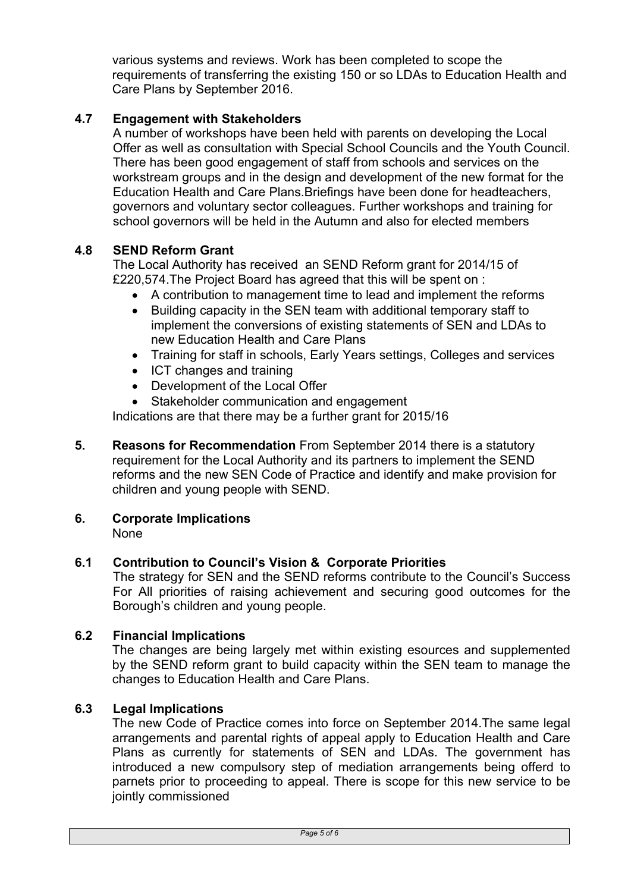various systems and reviews. Work has been completed to scope the requirements of transferring the existing 150 or so LDAs to Education Health and Care Plans by September 2016.

# **4.7 Engagement with Stakeholders**

A number of workshops have been held with parents on developing the Local Offer as well as consultation with Special School Councils and the Youth Council. There has been good engagement of staff from schools and services on the workstream groups and in the design and development of the new format for the Education Health and Care Plans.Briefings have been done for headteachers, governors and voluntary sector colleagues. Further workshops and training for school governors will be held in the Autumn and also for elected members

## **4.8 SEND Reform Grant**

The Local Authority has received an SEND Reform grant for 2014/15 of £220,574.The Project Board has agreed that this will be spent on :

- A contribution to management time to lead and implement the reforms
- Building capacity in the SEN team with additional temporary staff to implement the conversions of existing statements of SEN and LDAs to new Education Health and Care Plans
- Training for staff in schools, Early Years settings, Colleges and services
- ICT changes and training
- Development of the Local Offer
- Stakeholder communication and engagement

Indications are that there may be a further grant for 2015/16

- **5. Reasons for Recommendation** From September 2014 there is a statutory requirement for the Local Authority and its partners to implement the SEND reforms and the new SEN Code of Practice and identify and make provision for children and young people with SEND.
- **6. Corporate Implications** None

#### **6.1 Contribution to Council's Vision & Corporate Priorities**

The strategy for SEN and the SEND reforms contribute to the Council's Success For All priorities of raising achievement and securing good outcomes for the Borough's children and young people.

#### **6.2 Financial Implications**

The changes are being largely met within existing esources and supplemented by the SEND reform grant to build capacity within the SEN team to manage the changes to Education Health and Care Plans.

#### **6.3 Legal Implications**

The new Code of Practice comes into force on September 2014.The same legal arrangements and parental rights of appeal apply to Education Health and Care Plans as currently for statements of SEN and LDAs. The government has introduced a new compulsory step of mediation arrangements being offerd to parnets prior to proceeding to appeal. There is scope for this new service to be jointly commissioned